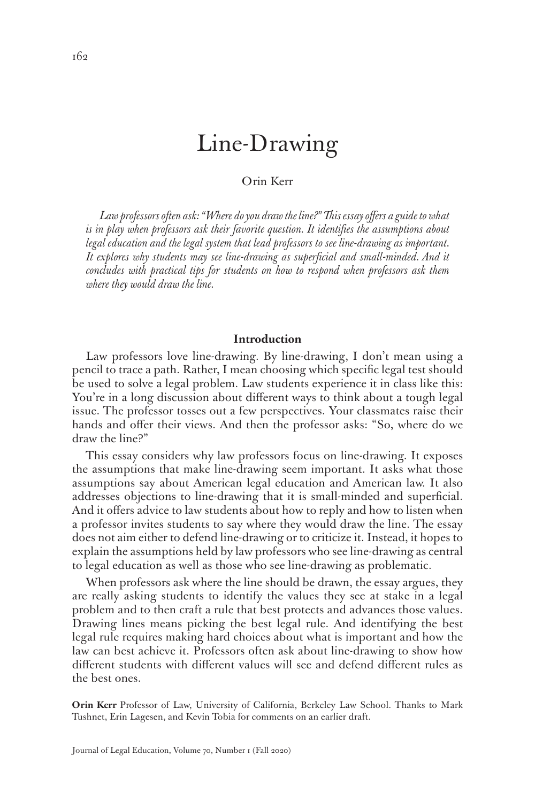# Line-Drawing

# Orin Kerr

*Law professors often ask: "Where do you draw the line?" This essay offers a guide to what*  is in play when professors ask their favorite question. It identifies the assumptions about *legal education and the legal system that lead professors to see line-drawing as important. It explores why students may see line-drawing as superficial and small-minded. And it concludes with practical tips for students on how to respond when professors ask them where they would draw the line.*

#### **Introduction**

Law professors love line-drawing. By line-drawing, I don't mean using a pencil to trace a path. Rather, I mean choosing which specific legal test should be used to solve a legal problem. Law students experience it in class like this: You're in a long discussion about different ways to think about a tough legal issue. The professor tosses out a few perspectives. Your classmates raise their hands and offer their views. And then the professor asks: "So, where do we draw the line?"

This essay considers why law professors focus on line-drawing. It exposes the assumptions that make line-drawing seem important. It asks what those assumptions say about American legal education and American law. It also addresses objections to line-drawing that it is small-minded and superficial. And it offers advice to law students about how to reply and how to listen when a professor invites students to say where they would draw the line. The essay does not aim either to defend line-drawing or to criticize it. Instead, it hopes to explain the assumptions held by law professors who see line-drawing as central to legal education as well as those who see line-drawing as problematic.

When professors ask where the line should be drawn, the essay argues, they are really asking students to identify the values they see at stake in a legal problem and to then craft a rule that best protects and advances those values. Drawing lines means picking the best legal rule. And identifying the best legal rule requires making hard choices about what is important and how the law can best achieve it. Professors often ask about line-drawing to show how different students with different values will see and defend different rules as the best ones.

**Orin Kerr** Professor of Law, University of California, Berkeley Law School. Thanks to Mark Tushnet, Erin Lagesen, and Kevin Tobia for comments on an earlier draft.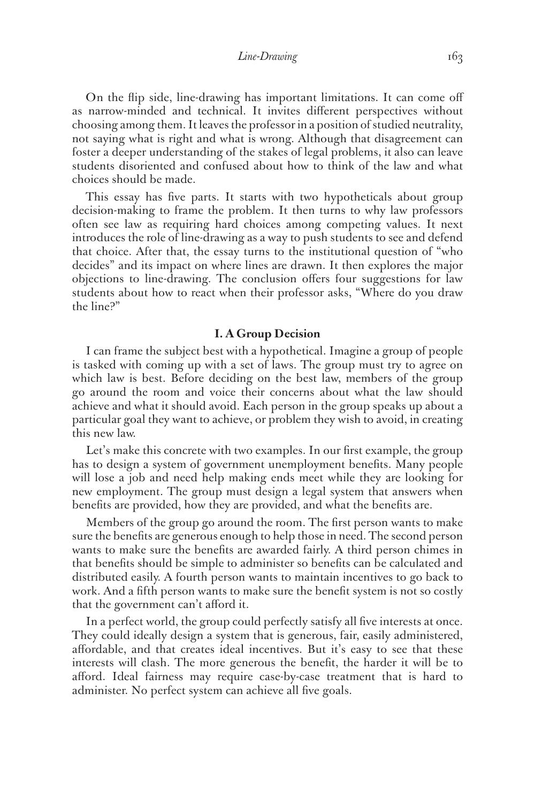#### *Line-Drawing* 163

On the flip side, line-drawing has important limitations. It can come off as narrow-minded and technical. It invites different perspectives without choosing among them. It leaves the professor in a position of studied neutrality, not saying what is right and what is wrong. Although that disagreement can foster a deeper understanding of the stakes of legal problems, it also can leave students disoriented and confused about how to think of the law and what choices should be made.

This essay has five parts. It starts with two hypotheticals about group decision-making to frame the problem. It then turns to why law professors often see law as requiring hard choices among competing values. It next introduces the role of line-drawing as a way to push students to see and defend that choice. After that, the essay turns to the institutional question of "who decides" and its impact on where lines are drawn. It then explores the major objections to line-drawing. The conclusion offers four suggestions for law students about how to react when their professor asks, "Where do you draw the line?"

## **I. A Group Decision**

I can frame the subject best with a hypothetical. Imagine a group of people is tasked with coming up with a set of laws. The group must try to agree on which law is best. Before deciding on the best law, members of the group go around the room and voice their concerns about what the law should achieve and what it should avoid. Each person in the group speaks up about a particular goal they want to achieve, or problem they wish to avoid, in creating this new law.

Let's make this concrete with two examples. In our first example, the group has to design a system of government unemployment benefits. Many people will lose a job and need help making ends meet while they are looking for new employment. The group must design a legal system that answers when benefits are provided, how they are provided, and what the benefits are.

Members of the group go around the room. The first person wants to make sure the benefits are generous enough to help those in need. The second person wants to make sure the benefits are awarded fairly. A third person chimes in that benefits should be simple to administer so benefits can be calculated and distributed easily. A fourth person wants to maintain incentives to go back to work. And a fifth person wants to make sure the benefit system is not so costly that the government can't afford it.

In a perfect world, the group could perfectly satisfy all five interests at once. They could ideally design a system that is generous, fair, easily administered, affordable, and that creates ideal incentives. But it's easy to see that these interests will clash. The more generous the benefit, the harder it will be to afford. Ideal fairness may require case-by-case treatment that is hard to administer. No perfect system can achieve all five goals.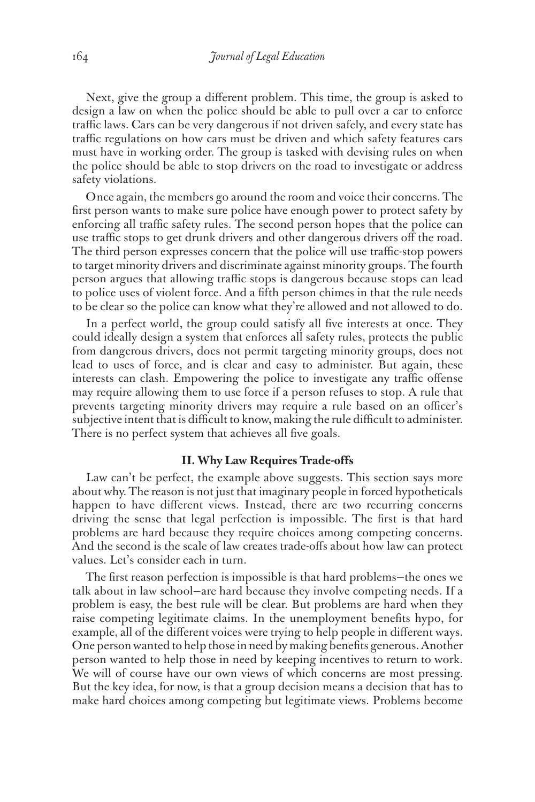Next, give the group a different problem. This time, the group is asked to design a law on when the police should be able to pull over a car to enforce traffic laws. Cars can be very dangerous if not driven safely, and every state has traffic regulations on how cars must be driven and which safety features cars must have in working order. The group is tasked with devising rules on when the police should be able to stop drivers on the road to investigate or address safety violations.

Once again, the members go around the room and voice their concerns. The first person wants to make sure police have enough power to protect safety by enforcing all traffic safety rules. The second person hopes that the police can use traffic stops to get drunk drivers and other dangerous drivers off the road. The third person expresses concern that the police will use traffic-stop powers to target minority drivers and discriminate against minority groups. The fourth person argues that allowing traffic stops is dangerous because stops can lead to police uses of violent force. And a fifth person chimes in that the rule needs to be clear so the police can know what they're allowed and not allowed to do.

In a perfect world, the group could satisfy all five interests at once. They could ideally design a system that enforces all safety rules, protects the public from dangerous drivers, does not permit targeting minority groups, does not lead to uses of force, and is clear and easy to administer. But again, these interests can clash. Empowering the police to investigate any traffic offense may require allowing them to use force if a person refuses to stop. A rule that prevents targeting minority drivers may require a rule based on an officer's subjective intent that is difficult to know, making the rule difficult to administer. There is no perfect system that achieves all five goals.

# **II. Why Law Requires Trade-offs**

Law can't be perfect, the example above suggests. This section says more about why. The reason is not just that imaginary people in forced hypotheticals happen to have different views. Instead, there are two recurring concerns driving the sense that legal perfection is impossible. The first is that hard problems are hard because they require choices among competing concerns. And the second is the scale of law creates trade-offs about how law can protect values. Let's consider each in turn.

The first reason perfection is impossible is that hard problems—the ones we talk about in law school—are hard because they involve competing needs. If a problem is easy, the best rule will be clear. But problems are hard when they raise competing legitimate claims. In the unemployment benefits hypo, for example, all of the different voices were trying to help people in different ways. One person wanted to help those in need by making benefits generous. Another person wanted to help those in need by keeping incentives to return to work. We will of course have our own views of which concerns are most pressing. But the key idea, for now, is that a group decision means a decision that has to make hard choices among competing but legitimate views. Problems become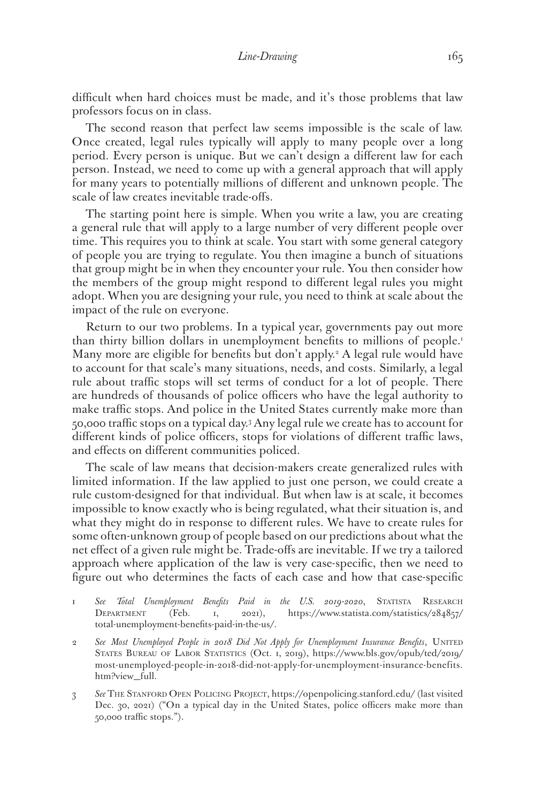difficult when hard choices must be made, and it's those problems that law professors focus on in class.

The second reason that perfect law seems impossible is the scale of law. Once created, legal rules typically will apply to many people over a long period. Every person is unique. But we can't design a different law for each person. Instead, we need to come up with a general approach that will apply for many years to potentially millions of different and unknown people. The scale of law creates inevitable trade-offs.

The starting point here is simple. When you write a law, you are creating a general rule that will apply to a large number of very different people over time. This requires you to think at scale. You start with some general category of people you are trying to regulate. You then imagine a bunch of situations that group might be in when they encounter your rule. You then consider how the members of the group might respond to different legal rules you might adopt. When you are designing your rule, you need to think at scale about the impact of the rule on everyone.

Return to our two problems. In a typical year, governments pay out more than thirty billion dollars in unemployment benefits to millions of people.<sup>1</sup> Many more are eligible for benefits but don't apply.2 A legal rule would have to account for that scale's many situations, needs, and costs. Similarly, a legal rule about traffic stops will set terms of conduct for a lot of people. There are hundreds of thousands of police officers who have the legal authority to make traffic stops. And police in the United States currently make more than 50,000 traffic stops on a typical day.3 Any legal rule we create has to account for different kinds of police officers, stops for violations of different traffic laws, and effects on different communities policed.

The scale of law means that decision-makers create generalized rules with limited information. If the law applied to just one person, we could create a rule custom-designed for that individual. But when law is at scale, it becomes impossible to know exactly who is being regulated, what their situation is, and what they might do in response to different rules. We have to create rules for some often-unknown group of people based on our predictions about what the net effect of a given rule might be. Trade-offs are inevitable. If we try a tailored approach where application of the law is very case-specific, then we need to figure out who determines the facts of each case and how that case-specific

- 1 *See Total Unemployment Benefits Paid in the U.S. 2019-2020*, Statista Research DEPARTMENT (Feb. 1, 2021), https://www.statista.com/statistics/284857/ total-unemployment-benefits-paid-in-the-us/.
- 2 See Most Unemployed People in 2018 Did Not Apply for Unemployment Insurance Benefits, UNITED States Bureau of Labor Statistics (Oct. 1, 2019), https://www.bls.gov/opub/ted/2019/ most-unemployed-people-in-2018-did-not-apply-for-unemployment-insurance-benefits. htm?view\_full.
- 3 *See* The Stanford Open Policing Project, https://openpolicing.stanford.edu/ (last visited Dec. 30, 2021) ("On a typical day in the United States, police officers make more than 50,000 traffic stops.").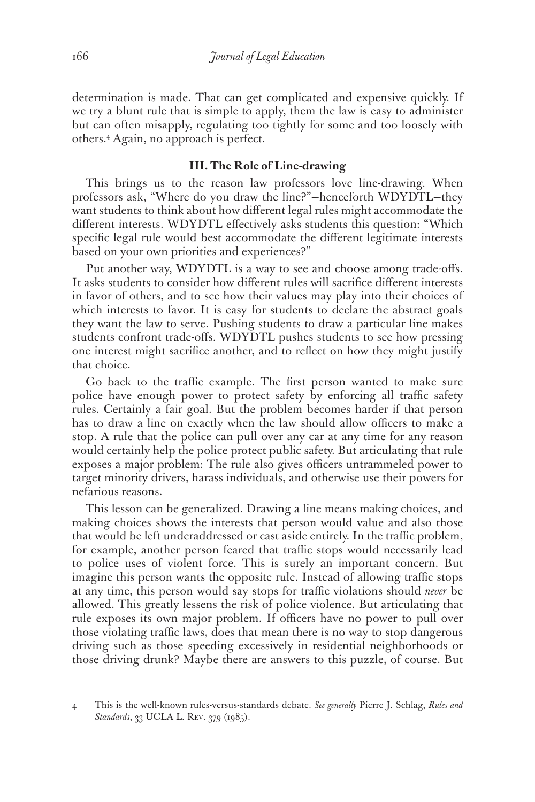determination is made. That can get complicated and expensive quickly. If we try a blunt rule that is simple to apply, them the law is easy to administer but can often misapply, regulating too tightly for some and too loosely with others.4 Again, no approach is perfect.

## **III. The Role of Line-drawing**

This brings us to the reason law professors love line-drawing. When professors ask, "Where do you draw the line?"—henceforth WDYDTL—they want students to think about how different legal rules might accommodate the different interests. WDYDTL effectively asks students this question: "Which specific legal rule would best accommodate the different legitimate interests based on your own priorities and experiences?"

Put another way, WDYDTL is a way to see and choose among trade-offs. It asks students to consider how different rules will sacrifice different interests in favor of others, and to see how their values may play into their choices of which interests to favor. It is easy for students to declare the abstract goals they want the law to serve. Pushing students to draw a particular line makes students confront trade-offs. WDYDTL pushes students to see how pressing one interest might sacrifice another, and to reflect on how they might justify that choice.

Go back to the traffic example. The first person wanted to make sure police have enough power to protect safety by enforcing all traffic safety rules. Certainly a fair goal. But the problem becomes harder if that person has to draw a line on exactly when the law should allow officers to make a stop. A rule that the police can pull over any car at any time for any reason would certainly help the police protect public safety. But articulating that rule exposes a major problem: The rule also gives officers untrammeled power to target minority drivers, harass individuals, and otherwise use their powers for nefarious reasons.

This lesson can be generalized. Drawing a line means making choices, and making choices shows the interests that person would value and also those that would be left underaddressed or cast aside entirely. In the traffic problem, for example, another person feared that traffic stops would necessarily lead to police uses of violent force. This is surely an important concern. But imagine this person wants the opposite rule. Instead of allowing traffic stops at any time, this person would say stops for traffic violations should *never* be allowed. This greatly lessens the risk of police violence. But articulating that rule exposes its own major problem. If officers have no power to pull over those violating traffic laws, does that mean there is no way to stop dangerous driving such as those speeding excessively in residential neighborhoods or those driving drunk? Maybe there are answers to this puzzle, of course. But

<sup>4</sup> This is the well-known rules-versus-standards debate. *See generally* Pierre J. Schlag, *Rules and Standards*, 33 UCLA L. Rev. 379 (1985).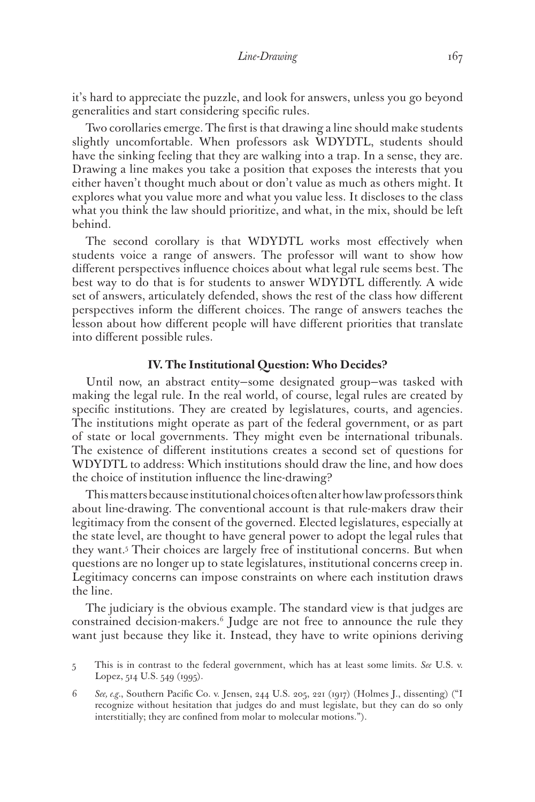it's hard to appreciate the puzzle, and look for answers, unless you go beyond generalities and start considering specific rules.

Two corollaries emerge. The first is that drawing a line should make students slightly uncomfortable. When professors ask WDYDTL, students should have the sinking feeling that they are walking into a trap. In a sense, they are. Drawing a line makes you take a position that exposes the interests that you either haven't thought much about or don't value as much as others might. It explores what you value more and what you value less. It discloses to the class what you think the law should prioritize, and what, in the mix, should be left behind.

The second corollary is that WDYDTL works most effectively when students voice a range of answers. The professor will want to show how different perspectives influence choices about what legal rule seems best. The best way to do that is for students to answer WDYDTL differently. A wide set of answers, articulately defended, shows the rest of the class how different perspectives inform the different choices. The range of answers teaches the lesson about how different people will have different priorities that translate into different possible rules.

## **IV. The Institutional Question: Who Decides?**

Until now, an abstract entity—some designated group—was tasked with making the legal rule. In the real world, of course, legal rules are created by specific institutions. They are created by legislatures, courts, and agencies. The institutions might operate as part of the federal government, or as part of state or local governments. They might even be international tribunals. The existence of different institutions creates a second set of questions for WDYDTL to address: Which institutions should draw the line, and how does the choice of institution influence the line-drawing?

This matters because institutional choices often alter how law professors think about line-drawing. The conventional account is that rule-makers draw their legitimacy from the consent of the governed. Elected legislatures, especially at the state level, are thought to have general power to adopt the legal rules that they want.5 Their choices are largely free of institutional concerns. But when questions are no longer up to state legislatures, institutional concerns creep in. Legitimacy concerns can impose constraints on where each institution draws the line.

The judiciary is the obvious example. The standard view is that judges are constrained decision-makers.6 Judge are not free to announce the rule they want just because they like it. Instead, they have to write opinions deriving

6 *See, e.g.*, Southern Pacific Co. v. Jensen, 244 U.S. 205, 221 (1917) (Holmes J., dissenting) ("I recognize without hesitation that judges do and must legislate, but they can do so only interstitially; they are confined from molar to molecular motions.").

<sup>5</sup> This is in contrast to the federal government, which has at least some limits. *See* U.S. v. Lopez, 514 U.S. 549 (1995).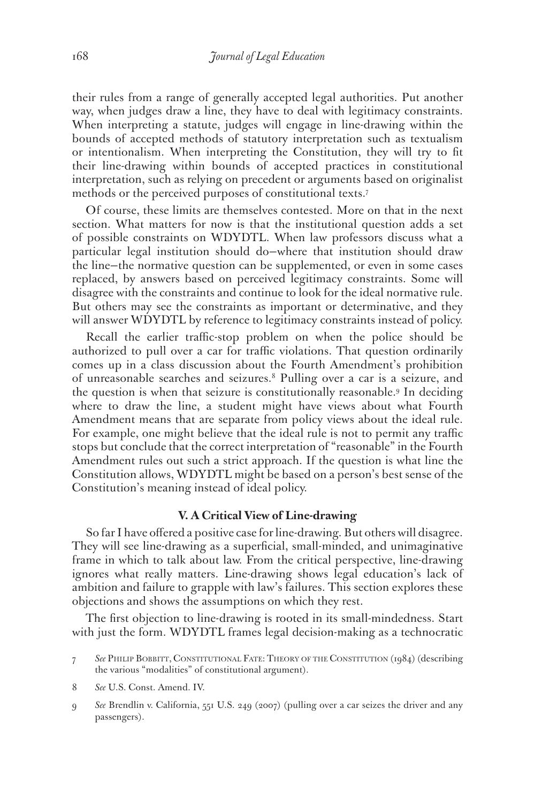their rules from a range of generally accepted legal authorities. Put another way, when judges draw a line, they have to deal with legitimacy constraints. When interpreting a statute, judges will engage in line-drawing within the bounds of accepted methods of statutory interpretation such as textualism or intentionalism. When interpreting the Constitution, they will try to fit their line-drawing within bounds of accepted practices in constitutional interpretation, such as relying on precedent or arguments based on originalist methods or the perceived purposes of constitutional texts.7

Of course, these limits are themselves contested. More on that in the next section. What matters for now is that the institutional question adds a set of possible constraints on WDYDTL. When law professors discuss what a particular legal institution should do—where that institution should draw the line—the normative question can be supplemented, or even in some cases replaced, by answers based on perceived legitimacy constraints. Some will disagree with the constraints and continue to look for the ideal normative rule. But others may see the constraints as important or determinative, and they will answer WDYDTL by reference to legitimacy constraints instead of policy.

Recall the earlier traffic-stop problem on when the police should be authorized to pull over a car for traffic violations. That question ordinarily comes up in a class discussion about the Fourth Amendment's prohibition of unreasonable searches and seizures.8 Pulling over a car is a seizure, and the question is when that seizure is constitutionally reasonable.9 In deciding where to draw the line, a student might have views about what Fourth Amendment means that are separate from policy views about the ideal rule. For example, one might believe that the ideal rule is not to permit any traffic stops but conclude that the correct interpretation of "reasonable" in the Fourth Amendment rules out such a strict approach. If the question is what line the Constitution allows, WDYDTL might be based on a person's best sense of the Constitution's meaning instead of ideal policy.

#### **V. A Critical View of Line-drawing**

So far I have offered a positive case for line-drawing. But others will disagree. They will see line-drawing as a superficial, small-minded, and unimaginative frame in which to talk about law. From the critical perspective, line-drawing ignores what really matters. Line-drawing shows legal education's lack of ambition and failure to grapple with law's failures. This section explores these objections and shows the assumptions on which they rest.

The first objection to line-drawing is rooted in its small-mindedness. Start with just the form. WDYDTL frames legal decision-making as a technocratic

- 8 *See* U.S. Const. Amend. IV.
- 9 *See* Brendlin v. California, 551 U.S. 249 (2007) (pulling over a car seizes the driver and any passengers).

<sup>7</sup> *See* Philip Bobbitt, Constitutional Fate: Theory of the Constitution (1984) (describing the various "modalities" of constitutional argument).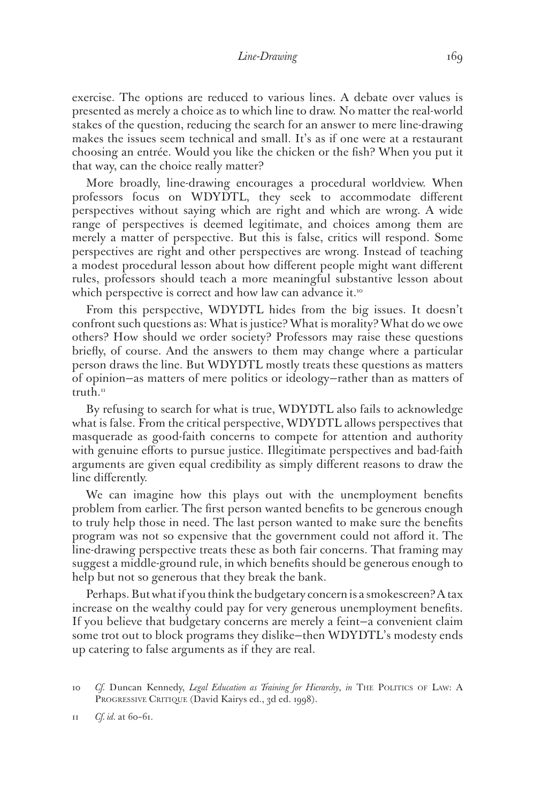exercise. The options are reduced to various lines. A debate over values is presented as merely a choice as to which line to draw. No matter the real-world stakes of the question, reducing the search for an answer to mere line-drawing makes the issues seem technical and small. It's as if one were at a restaurant choosing an entrée. Would you like the chicken or the fish? When you put it that way, can the choice really matter?

More broadly, line-drawing encourages a procedural worldview. When professors focus on WDYDTL, they seek to accommodate different perspectives without saying which are right and which are wrong. A wide range of perspectives is deemed legitimate, and choices among them are merely a matter of perspective. But this is false, critics will respond. Some perspectives are right and other perspectives are wrong. Instead of teaching a modest procedural lesson about how different people might want different rules, professors should teach a more meaningful substantive lesson about which perspective is correct and how law can advance it.<sup>10</sup>

From this perspective, WDYDTL hides from the big issues. It doesn't confront such questions as: What is justice? What is morality? What do we owe others? How should we order society? Professors may raise these questions briefly, of course. And the answers to them may change where a particular person draws the line. But WDYDTL mostly treats these questions as matters of opinion—as matters of mere politics or ideology—rather than as matters of truth. $n_1$ 

By refusing to search for what is true, WDYDTL also fails to acknowledge what is false. From the critical perspective, WDYDTL allows perspectives that masquerade as good-faith concerns to compete for attention and authority with genuine efforts to pursue justice. Illegitimate perspectives and bad-faith arguments are given equal credibility as simply different reasons to draw the line differently.

We can imagine how this plays out with the unemployment benefits problem from earlier. The first person wanted benefits to be generous enough to truly help those in need. The last person wanted to make sure the benefits program was not so expensive that the government could not afford it. The line-drawing perspective treats these as both fair concerns. That framing may suggest a middle-ground rule, in which benefits should be generous enough to help but not so generous that they break the bank.

Perhaps. But what if you think the budgetary concern is a smokescreen? A tax increase on the wealthy could pay for very generous unemployment benefits. If you believe that budgetary concerns are merely a feint—a convenient claim some trot out to block programs they dislike—then WDYDTL's modesty ends up catering to false arguments as if they are real.

<sup>10</sup> *Cf.* Duncan Kennedy, *Legal Education as Training for Hierarchy*, *in* The Politics of Law: A PROGRESSIVE CRITIQUE (David Kairys ed., 3d ed. 1998).

<sup>11</sup> *Cf. id.* at 60–61.